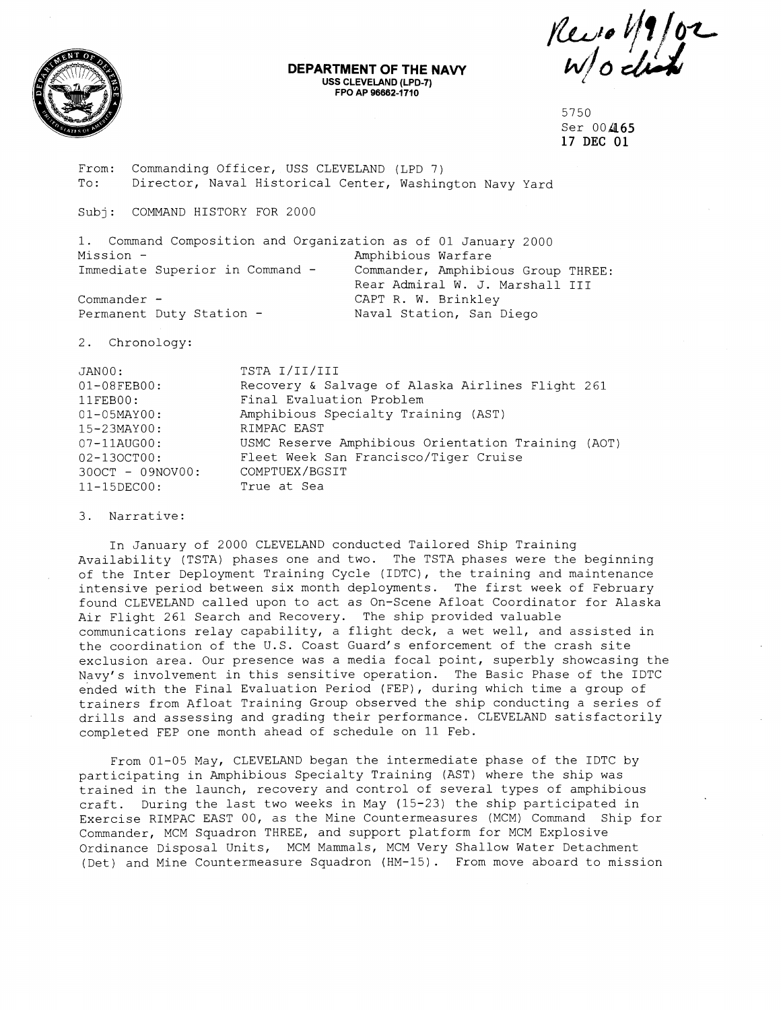

## **DEPARTMENT OF THE NAVY USS CLEVELAND (LPD-7) FPO AP 96662-1710**

Revolt 102

5750 Ser 004165 **17** DEC **01** 

From: Commanding Officer, USS CLEVELAND (LPD 7)<br>To: Director, Naval Historical Center, Washin Director, Naval Historical Center, Washington Navy Yard

Subj: COMMAND HISTORY FOR 2000

1. Command Composition and Organization as of 01 January 2000 Mission -<br>Immediate Superior in Command - Commander, Amphibi Commander, Amphibious Group THREE: Rear Admiral W. J. Marshall I11 Commander - CAPT R. W. Brinkley Permanent Duty Station - Naval Station, San Diego

2. Chronology:

| JANOO:              | TSTA I/II/III                                      |
|---------------------|----------------------------------------------------|
| $01 - 08$ FEB00:    | Recovery & Salvage of Alaska Airlines Flight 261   |
| 11FEBOO:            | Final Evaluation Problem                           |
| $01 - 05$ MAY $00:$ | Amphibious Specialty Training (AST)                |
| $15 - 23$ MAY00:    | RIMPAC EAST                                        |
| $07 - 11$ AUG $00:$ | USMC Reserve Amphibious Orientation Training (AOT) |
| $02 - 130 C T 00:$  | Fleet Week San Francisco/Tiger Cruise              |
| 300CT - 09NOV00:    | COMPTUEX/BGSIT                                     |
| $11 - 15$ DEC $00:$ | True at Sea                                        |

## 3. Narrative:

In January of 2000 CLEVELAND conducted Tailored Ship Training Availability (TSTA) phases one and two. The TSTA phases were the beginning of the Inter Deployment Training Cycle (IDTC), the training and maintenance intensive period between six month deployments. The first week of February found CLEVELAND called upon to act as On-Scene Afloat Coordinator for Alaska Air Flight 261 Search and Recovery. The ship provided valuable communications relay capability, a flight deck, a wet well, and assisted in the coordination of the U.S. Coast Guard's enforcement of the crash site exclusion area. Our presence was a media focal point, superbly showcasing the Navy's involvement in this sensitive operation. The Basic Phase of the IDTC ended with the Final Evaluation Period (FEP), during which time a group of trainers from Afloat Training Group observed the ship conducting a series of drills and assessing and grading their performance. CLEVELAND satisfactorily completed FEP one month ahead of schedule on 11 Feb.

From 01-05 May, CLEVELAND began the intermediate phase of the IDTC by participating in Amphibious Specialty Training (AST) where the ship was trained in the launch, recovery and control of several types of amphibious craft. During the last two weeks in May (15-23) the ship participated in Exercise RIMPAC EAST 00, as the Mine Countermeasures (MCM) Command Ship for Commander, MCM Squadron THREE, and support platform for MCM Explosive Ordinance Disposal Units, MCM Mammals, MCM Very Shallow Water Detachment (Det) and Mine Countermeasure Squadron (HM-15). From move aboard to mission